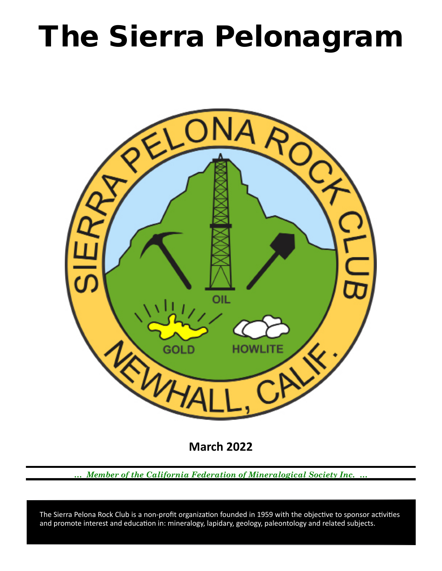# The Sierra Pelonagram



**March 2022**

*… Member of the California Federation of Mineralogical Society Inc. …*

 and promote interest and education in: mineralogy, lapidary, geology, paleontology and related subjects. The Sierra Pelona Rock Club is a non-profit organization founded in 1959 with the objective to sponsor activities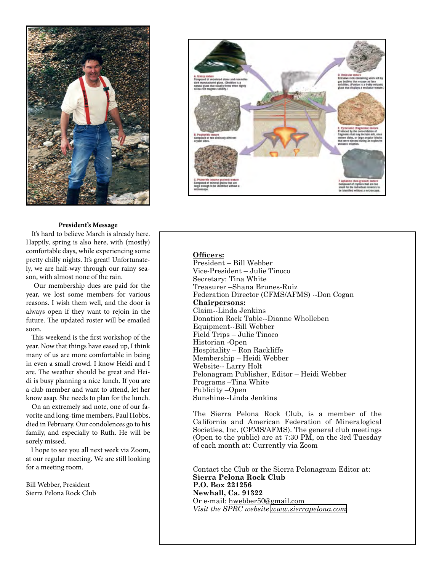



#### **President's Message**

 It's hard to believe March is already here. Happily, spring is also here, with (mostly) comfortable days, while experiencing some pretty chilly nights. It's great! Unfortunately, we are half-way through our rainy season, with almost none of the rain.

 Our membership dues are paid for the year, we lost some members for various reasons. I wish them well, and the door is always open if they want to rejoin in the future. The updated roster will be emailed soon.

 This weekend is the first workshop of the year. Now that things have eased up, I think many of us are more comfortable in being in even a small crowd. I know Heidi and I are. The weather should be great and Heidi is busy planning a nice lunch. If you are a club member and want to attend, let her know asap. She needs to plan for the lunch.

 On an extremely sad note, one of our favorite and long-time members, Paul Hobbs, died in February. Our condolences go to his family, and especially to Ruth. He will be sorely missed.

 I hope to see you all next week via Zoom, at our regular meeting. We are still looking for a meeting room.

Bill Webber, President Sierra Pelona Rock Club

### **Officers:**

President – Bill Webber Vice‑President – Julie Tinoco Secretary: Tina White Treasurer –Shana Brunes-Ruiz Federation Director (CFMS/AFMS) --Don Cogan **Chairpersons:** Claim--Linda Jenkins Donation Rock Table--Dianne Wholleben Equipment--Bill Webber Field Trips – Julie Tinoco Historian ‑Open Hospitality – Ron Rackliffe Membership – Heidi Webber Website-- Larry Holt Pelonagram Publisher, Editor – Heidi Webber Programs –Tina White Publicity –Open Sunshine--Linda Jenkins

The Sierra Pelona Rock Club, is a member of the California and American Federation of Mineralogical Societies, Inc. (CFMS/AFMS). The general club meetings (Open to the public) are at 7:30 PM, on the 3rd Tuesday of each month at: Currently via Zoom

Contact the Club or the Sierra Pelonagram Editor at: **Sierra Pelona Rock Club P.O. Box 221256 Newhall, Ca. 91322** Or e‑mail: hwebber50@gmail.com *Visit the SPRC website [www.sierrapelona.com](http://www.sierrapelona.com/)*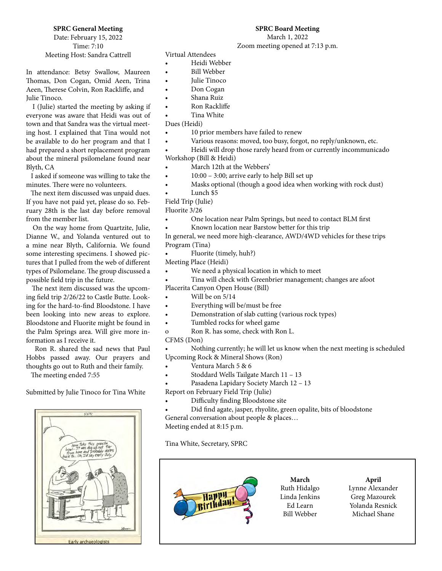## **SPRC General Meeting**

Date: February 15, 2022 Time: 7:10 Meeting Host: Sandra Cattrell

In attendance: Betsy Swallow, Maureen Thomas, Don Cogan, Omid Aeen, Trina Aeen, Therese Colvin, Ron Rackliffe, and Julie Tinoco.

 I (Julie) started the meeting by asking if everyone was aware that Heidi was out of town and that Sandra was the virtual meeting host. I explained that Tina would not be available to do her program and that I had prepared a short replacement program about the mineral psilomelane found near Blyth, CA

 I asked if someone was willing to take the minutes. There were no volunteers.

 The next item discussed was unpaid dues. If you have not paid yet, please do so. February 28th is the last day before removal from the member list.

 On the way home from Quartzite, Julie, Dianne W., and Yolanda ventured out to a mine near Blyth, California. We found some interesting specimens. I showed pictures that I pulled from the web of different types of Psilomelane. The group discussed a possible field trip in the future.

 The next item discussed was the upcoming field trip 2/26/22 to Castle Butte. Looking for the hard-to-find Bloodstone. I have been looking into new areas to explore. Bloodstone and Fluorite might be found in the Palm Springs area. Will give more information as I receive it.

 Ron R. shared the sad news that Paul Hobbs passed away. Our prayers and thoughts go out to Ruth and their family.

The meeting ended 7:55

Submitted by Julie Tinoco for Tina White



Virtual Attendees

- Heidi Webber
- Bill Webber
- Julie Tinoco
- Don Cogan
- Shana Ruiz
- Ron Rackliffe
- Tina White

Dues (Heidi)

- 10 prior members have failed to renew
	- Various reasons: moved, too busy, forgot, no reply/unknown, etc.

**SPRC Board Meeting** March 1, 2022 Zoom meeting opened at 7:13 p.m.

• Heidi will drop those rarely heard from or currently incommunicado Workshop (Bill & Heidi)

- March 12th at the Webbers'
- $10:00 3:00$ ; arrive early to help Bill set up
- Masks optional (though a good idea when working with rock dust)
- Lunch \$5
- Field Trip (Julie)

Fluorite 3/26

- One location near Palm Springs, but need to contact BLM first
- Known location near Barstow better for this trip

In general, we need more high-clearance, AWD/4WD vehicles for these trips Program (Tina)

• Fluorite (timely, huh?)

Meeting Place (Heidi)

- We need a physical location in which to meet
- Tina will check with Greenbrier management; changes are afoot

Placerita Canyon Open House (Bill)

- Will be on  $5/14$
- Everything will be/must be free
- Demonstration of slab cutting (various rock types)
- Tumbled rocks for wheel game
- o Ron R. has some, check with Ron L.

#### CFMS (Don)

• Nothing currently; he will let us know when the next meeting is scheduled Upcoming Rock & Mineral Shows (Ron)

- Ventura March 5 & 6
- Stoddard Wells Tailgate March 11 13
- Pasadena Lapidary Society March 12 13
- Report on February Field Trip (Julie)
- Difficulty finding Bloodstone site
- Did find agate, jasper, rhyolite, green opalite, bits of bloodstone General conversation about people & places…

Meeting ended at 8:15 p.m.

Tina White, Secretary, SPRC



**April** Lynne Alexander Greg Mazourek Yolanda Resnick Michael Shane